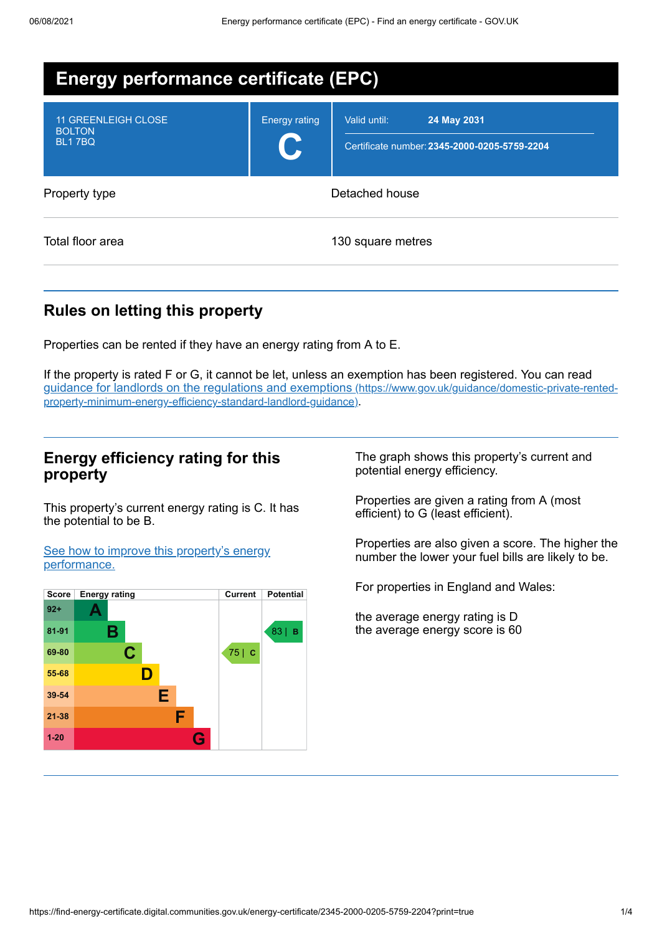| <b>Energy performance certificate (EPC)</b>           |                      |                                                                             |  |  |  |
|-------------------------------------------------------|----------------------|-----------------------------------------------------------------------------|--|--|--|
| 11 GREENLEIGH CLOSE<br><b>BOLTON</b><br><b>BL17BQ</b> | <b>Energy rating</b> | 24 May 2031<br>Valid until:<br>Certificate number: 2345-2000-0205-5759-2204 |  |  |  |
| Property type                                         | Detached house       |                                                                             |  |  |  |
| Total floor area                                      |                      | 130 square metres                                                           |  |  |  |

## **Rules on letting this property**

Properties can be rented if they have an energy rating from A to E.

If the property is rated F or G, it cannot be let, unless an exemption has been registered. You can read guidance for landlords on the regulations and exemptions (https://www.gov.uk/guidance/domestic-private-rented[property-minimum-energy-efficiency-standard-landlord-guidance\)](https://www.gov.uk/guidance/domestic-private-rented-property-minimum-energy-efficiency-standard-landlord-guidance).

### **Energy efficiency rating for this property**

This property's current energy rating is C. It has the potential to be B.

See how to improve this property's energy [performance.](#page-2-0)



The graph shows this property's current and potential energy efficiency.

Properties are given a rating from A (most efficient) to G (least efficient).

Properties are also given a score. The higher the number the lower your fuel bills are likely to be.

For properties in England and Wales:

the average energy rating is D the average energy score is 60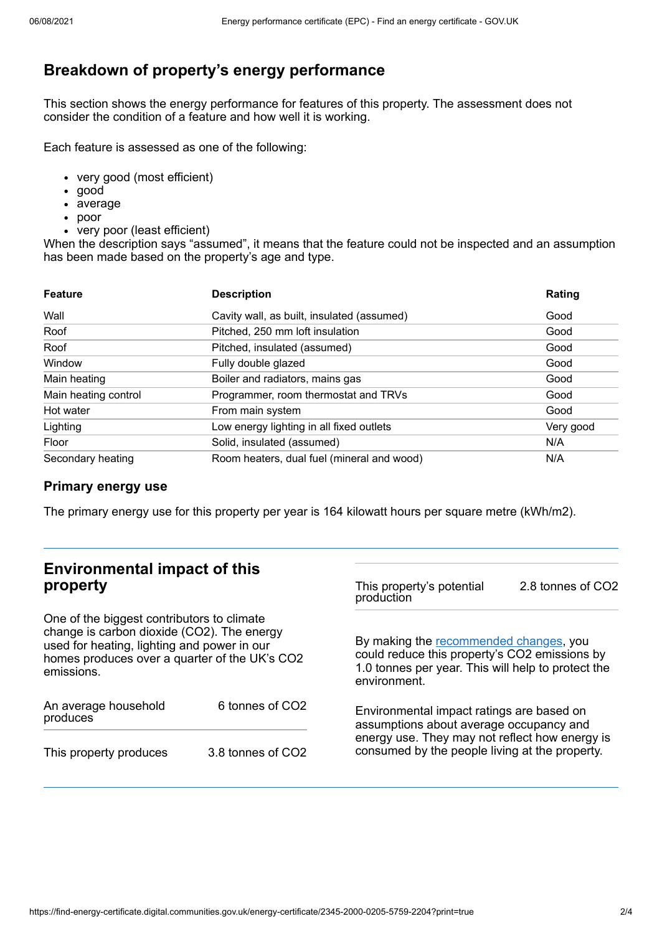# **Breakdown of property's energy performance**

This section shows the energy performance for features of this property. The assessment does not consider the condition of a feature and how well it is working.

Each feature is assessed as one of the following:

- very good (most efficient)
- good
- average
- poor
- very poor (least efficient)

When the description says "assumed", it means that the feature could not be inspected and an assumption has been made based on the property's age and type.

| <b>Feature</b>       | <b>Description</b>                         | Rating    |
|----------------------|--------------------------------------------|-----------|
| Wall                 | Cavity wall, as built, insulated (assumed) | Good      |
| Roof                 | Pitched, 250 mm loft insulation            | Good      |
| Roof                 | Pitched, insulated (assumed)               | Good      |
| Window               | Fully double glazed                        | Good      |
| Main heating         | Boiler and radiators, mains gas            | Good      |
| Main heating control | Programmer, room thermostat and TRVs       | Good      |
| Hot water            | From main system                           | Good      |
| Lighting             | Low energy lighting in all fixed outlets   | Very good |
| Floor                | Solid, insulated (assumed)                 | N/A       |
| Secondary heating    | Room heaters, dual fuel (mineral and wood) | N/A       |

### **Primary energy use**

The primary energy use for this property per year is 164 kilowatt hours per square metre (kWh/m2).

## **Environmental impact of this property**

One of the biggest contributors to climate change is carbon dioxide (CO2). The energy used for heating, lighting and power in our homes produces over a quarter of the UK's CO2 emissions.

| An average household<br>produces | 6 tonnes of CO <sub>2</sub> |  |  |
|----------------------------------|-----------------------------|--|--|
| This property produces           | 3.8 tonnes of CO2           |  |  |

This property's potential production 2.8 tonnes of CO2

By making the [recommended](#page-2-0) changes, you could reduce this property's CO2 emissions by 1.0 tonnes per year. This will help to protect the environment.

Environmental impact ratings are based on assumptions about average occupancy and energy use. They may not reflect how energy is consumed by the people living at the property.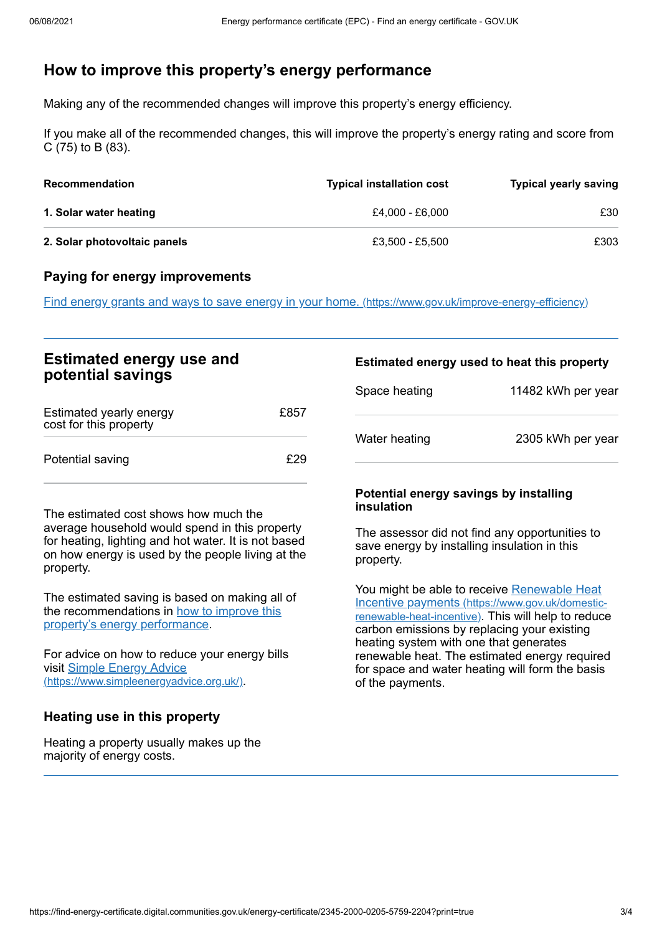## <span id="page-2-0"></span>**How to improve this property's energy performance**

Making any of the recommended changes will improve this property's energy efficiency.

If you make all of the recommended changes, this will improve the property's energy rating and score from C (75) to B (83).

| <b>Recommendation</b>        | <b>Typical installation cost</b> | <b>Typical yearly saving</b> |
|------------------------------|----------------------------------|------------------------------|
| 1. Solar water heating       | £4.000 - £6.000                  | £30                          |
| 2. Solar photovoltaic panels | £3.500 - £5.500                  | £303                         |

### **Paying for energy improvements**

Find energy grants and ways to save energy in your home. [\(https://www.gov.uk/improve-energy-efficiency\)](https://www.gov.uk/improve-energy-efficiency)

| <b>Estimated energy use and</b><br>potential savings |      | Estimated energy used to heat this property |                    |
|------------------------------------------------------|------|---------------------------------------------|--------------------|
|                                                      |      | Space heating                               | 11482 kWh per year |
| Estimated yearly energy<br>cost for this property    | £857 |                                             |                    |
| Potential saving                                     | £29  | Water heating                               | 2305 kWh per year  |

The estimated cost shows how much the average household would spend in this property for heating, lighting and hot water. It is not based on how energy is used by the people living at the property.

The estimated saving is based on making all of the [recommendations](#page-2-0) in how to improve this property's energy performance.

For advice on how to reduce your energy bills visit Simple Energy Advice [\(https://www.simpleenergyadvice.org.uk/\)](https://www.simpleenergyadvice.org.uk/).

### **Heating use in this property**

Heating a property usually makes up the majority of energy costs.

#### **Potential energy savings by installing insulation**

The assessor did not find any opportunities to save energy by installing insulation in this property.

You might be able to receive Renewable Heat Incentive payments [\(https://www.gov.uk/domestic](https://www.gov.uk/domestic-renewable-heat-incentive)renewable-heat-incentive). This will help to reduce carbon emissions by replacing your existing heating system with one that generates renewable heat. The estimated energy required for space and water heating will form the basis of the payments.